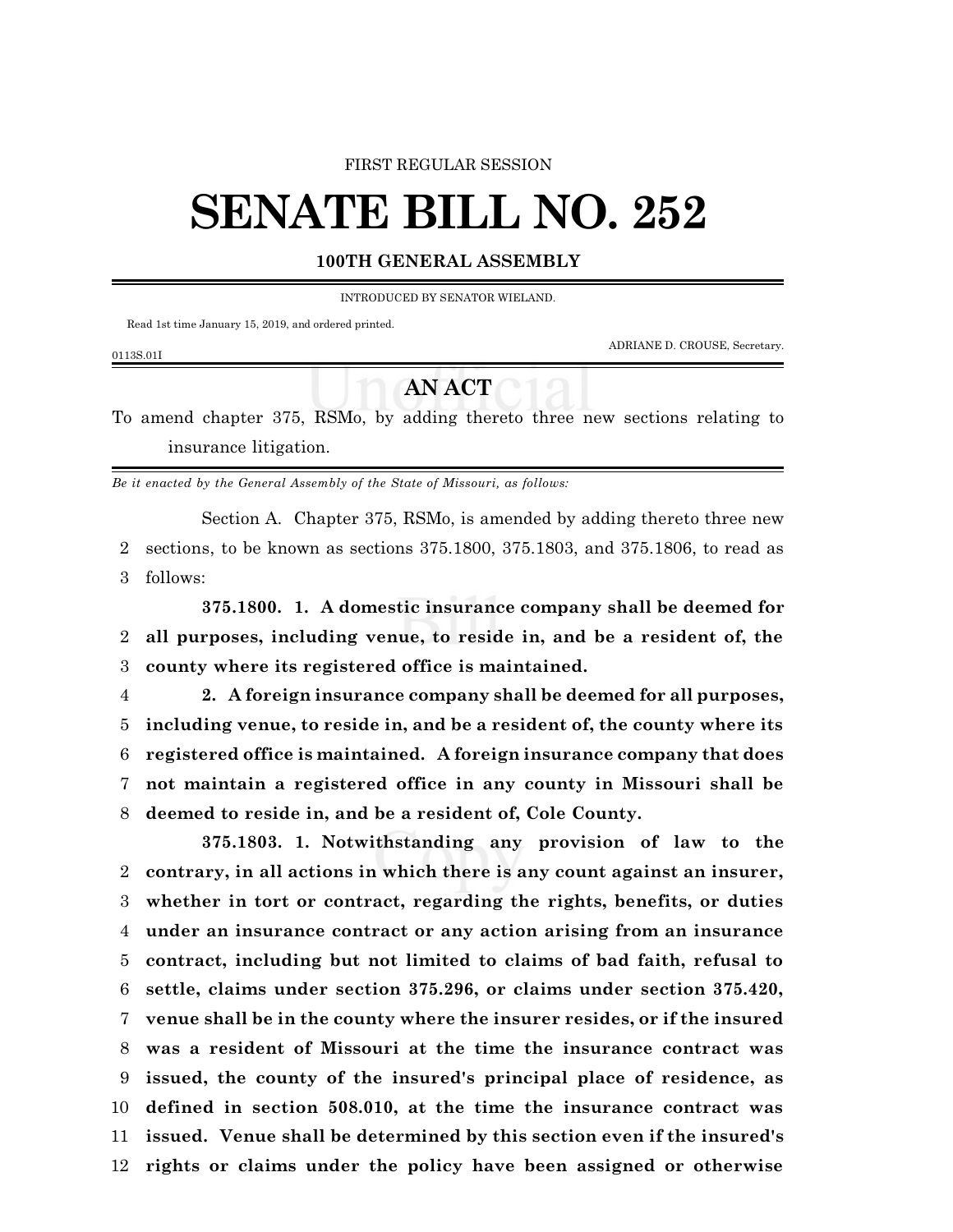#### FIRST REGULAR SESSION

# **SENATE BILL NO. 252**

### **100TH GENERAL ASSEMBLY**

INTRODUCED BY SENATOR WIELAND.

Read 1st time January 15, 2019, and ordered printed.

ADRIANE D. CROUSE, Secretary.

#### 0113S.01I

## **AN ACT**

To amend chapter 375, RSMo, by adding thereto three new sections relating to insurance litigation.

*Be it enacted by the General Assembly of the State of Missouri, as follows:*

Section A. Chapter 375, RSMo, is amended by adding thereto three new 2 sections, to be known as sections 375.1800, 375.1803, and 375.1806, to read as 3 follows:

**375.1800. 1. A domestic insurance company shall be deemed for** 2 **all purposes, including venue, to reside in, and be a resident of, the** 3 **county where its registered office is maintained.**

 **2. A foreign insurance company shall be deemed for all purposes, including venue, to reside in, and be a resident of, the county where its registered office is maintained. A foreign insurance company that does not maintain a registered office in any county in Missouri shall be deemed to reside in, and be a resident of, Cole County.**

**375.1803. 1. Notwithstanding any provision of law to the contrary, in all actions in which there is any count against an insurer, whether in tort or contract, regarding the rights, benefits, or duties under an insurance contract or any action arising from an insurance contract, including but not limited to claims of bad faith, refusal to settle, claims under section 375.296, or claims under section 375.420, venue shall be in the county where the insurer resides, or if the insured was a resident of Missouri at the time the insurance contract was issued, the county of the insured's principal place of residence, as defined in section 508.010, at the time the insurance contract was issued. Venue shall be determined by this section even if the insured's rights or claims under the policy have been assigned or otherwise**